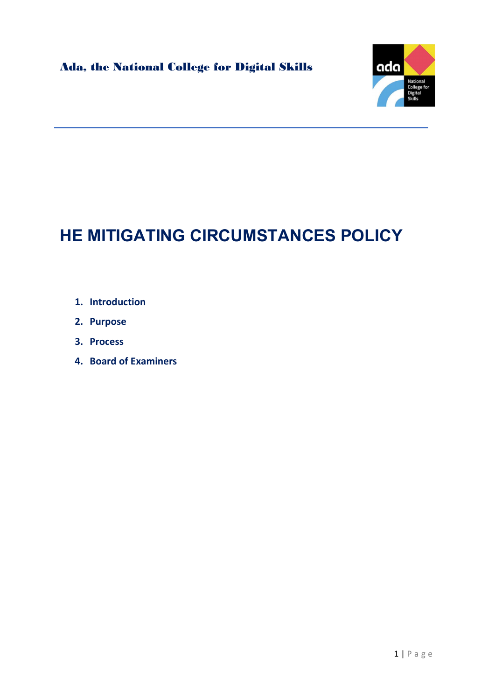

# HE MITIGATING CIRCUMSTANCES POLICY

- 1. Introduction
- 2. Purpose
- 3. Process
- 4. Board of Examiners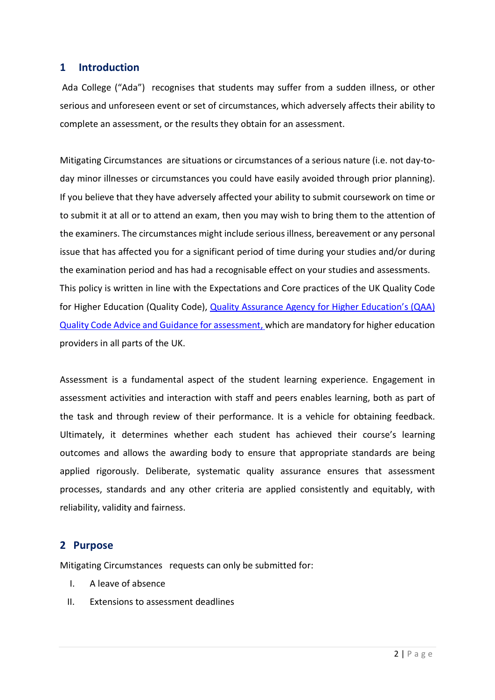## 1 Introduction

 Ada College ("Ada") recognises that students may suffer from a sudden illness, or other serious and unforeseen event or set of circumstances, which adversely affects their ability to complete an assessment, or the results they obtain for an assessment.

Mitigating Circumstances are situations or circumstances of a serious nature (i.e. not day-today minor illnesses or circumstances you could have easily avoided through prior planning). If you believe that they have adversely affected your ability to submit coursework on time or to submit it at all or to attend an exam, then you may wish to bring them to the attention of the examiners. The circumstances might include serious illness, bereavement or any personal issue that has affected you for a significant period of time during your studies and/or during the examination period and has had a recognisable effect on your studies and assessments. This policy is written in line with the Expectations and Core practices of the UK Quality Code for Higher Education (Quality Code), Quality Assurance Agency for Higher Education's (QAA) Quality Code Advice and Guidance for assessment, which are mandatory for higher education providers in all parts of the UK.

Assessment is a fundamental aspect of the student learning experience. Engagement in assessment activities and interaction with staff and peers enables learning, both as part of the task and through review of their performance. It is a vehicle for obtaining feedback. Ultimately, it determines whether each student has achieved their course's learning outcomes and allows the awarding body to ensure that appropriate standards are being applied rigorously. Deliberate, systematic quality assurance ensures that assessment processes, standards and any other criteria are applied consistently and equitably, with reliability, validity and fairness.

# 2 Purpose

Mitigating Circumstances requests can only be submitted for:

- I. A leave of absence
- II. Extensions to assessment deadlines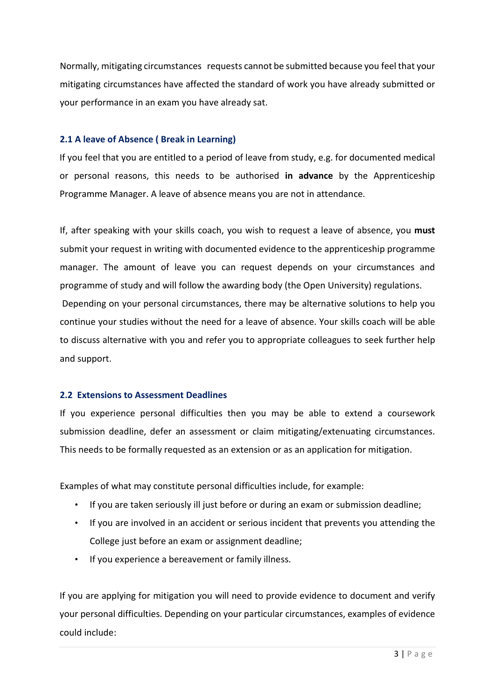Normally, mitigating circumstances requests cannot be submitted because you feel that your mitigating circumstances have affected the standard of work you have already submitted or your performance in an exam you have already sat.

### 2.1 A leave of Absence ( Break in Learning)

If you feel that you are entitled to a period of leave from study, e.g. for documented medical or personal reasons, this needs to be authorised in advance by the Apprenticeship Programme Manager. A leave of absence means you are not in attendance.

If, after speaking with your skills coach, you wish to request a leave of absence, you must submit your request in writing with documented evidence to the apprenticeship programme manager. The amount of leave you can request depends on your circumstances and programme of study and will follow the awarding body (the Open University) regulations. Depending on your personal circumstances, there may be alternative solutions to help you continue your studies without the need for a leave of absence. Your skills coach will be able to discuss alternative with you and refer you to appropriate colleagues to seek further help and support.

#### 2.2 Extensions to Assessment Deadlines

If you experience personal difficulties then you may be able to extend a coursework submission deadline, defer an assessment or claim mitigating/extenuating circumstances. This needs to be formally requested as an extension or as an application for mitigation.

Examples of what may constitute personal difficulties include, for example:

- If you are taken seriously ill just before or during an exam or submission deadline;
- If you are involved in an accident or serious incident that prevents you attending the College just before an exam or assignment deadline;
- If you experience a bereavement or family illness.

If you are applying for mitigation you will need to provide evidence to document and verify your personal difficulties. Depending on your particular circumstances, examples of evidence could include: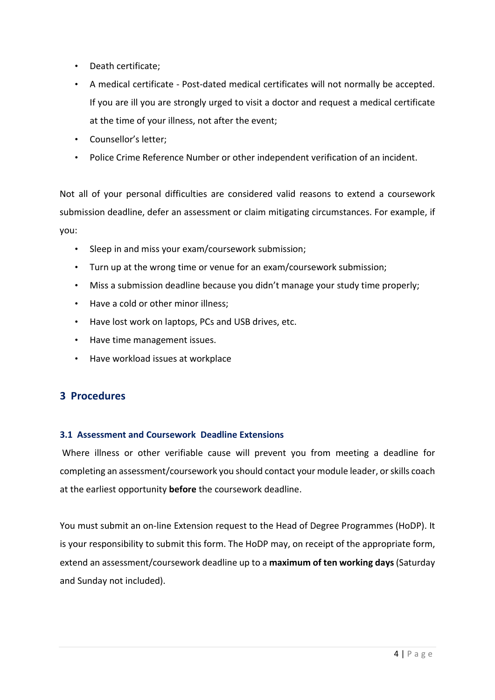- Death certificate;
- A medical certificate Post-dated medical certificates will not normally be accepted. If you are ill you are strongly urged to visit a doctor and request a medical certificate at the time of your illness, not after the event;
- Counsellor's letter;
- Police Crime Reference Number or other independent verification of an incident.

Not all of your personal difficulties are considered valid reasons to extend a coursework submission deadline, defer an assessment or claim mitigating circumstances. For example, if you:

- Sleep in and miss your exam/coursework submission;
- Turn up at the wrong time or venue for an exam/coursework submission;
- Miss a submission deadline because you didn't manage your study time properly;
- Have a cold or other minor illness;
- Have lost work on laptops, PCs and USB drives, etc.
- Have time management issues.
- Have workload issues at workplace

# 3 Procedures

#### 3.1 Assessment and Coursework Deadline Extensions

 Where illness or other verifiable cause will prevent you from meeting a deadline for completing an assessment/coursework you should contact your module leader, or skills coach at the earliest opportunity **before** the coursework deadline.

You must submit an on-line Extension request to the Head of Degree Programmes (HoDP). It is your responsibility to submit this form. The HoDP may, on receipt of the appropriate form, extend an assessment/coursework deadline up to a maximum of ten working days (Saturday and Sunday not included).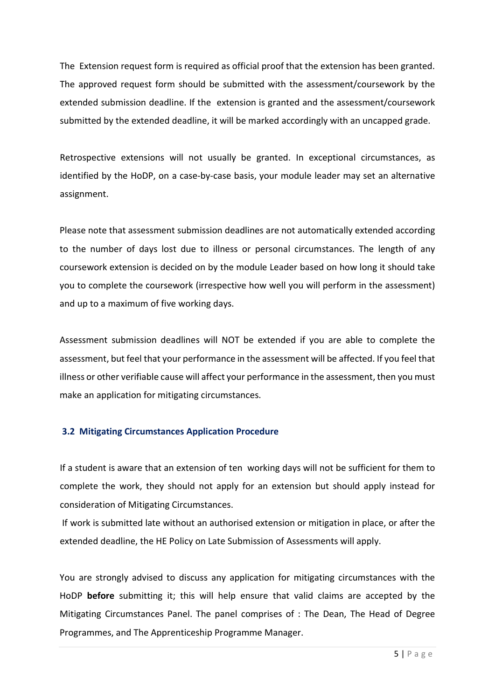The Extension request form is required as official proof that the extension has been granted. The approved request form should be submitted with the assessment/coursework by the extended submission deadline. If the extension is granted and the assessment/coursework submitted by the extended deadline, it will be marked accordingly with an uncapped grade.

Retrospective extensions will not usually be granted. In exceptional circumstances, as identified by the HoDP, on a case-by-case basis, your module leader may set an alternative assignment.

Please note that assessment submission deadlines are not automatically extended according to the number of days lost due to illness or personal circumstances. The length of any coursework extension is decided on by the module Leader based on how long it should take you to complete the coursework (irrespective how well you will perform in the assessment) and up to a maximum of five working days.

Assessment submission deadlines will NOT be extended if you are able to complete the assessment, but feel that your performance in the assessment will be affected. If you feel that illness or other verifiable cause will affect your performance in the assessment, then you must make an application for mitigating circumstances.

## 3.2 Mitigating Circumstances Application Procedure

If a student is aware that an extension of ten working days will not be sufficient for them to complete the work, they should not apply for an extension but should apply instead for consideration of Mitigating Circumstances.

 If work is submitted late without an authorised extension or mitigation in place, or after the extended deadline, the HE Policy on Late Submission of Assessments will apply.

You are strongly advised to discuss any application for mitigating circumstances with the HoDP before submitting it; this will help ensure that valid claims are accepted by the Mitigating Circumstances Panel. The panel comprises of : The Dean, The Head of Degree Programmes, and The Apprenticeship Programme Manager.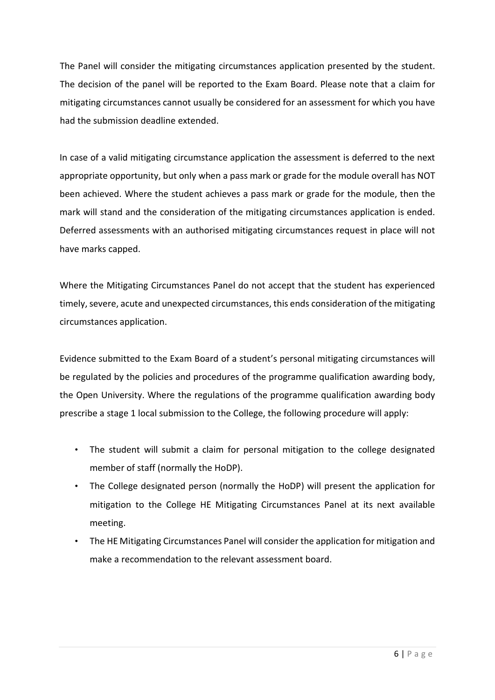The Panel will consider the mitigating circumstances application presented by the student. The decision of the panel will be reported to the Exam Board. Please note that a claim for mitigating circumstances cannot usually be considered for an assessment for which you have had the submission deadline extended.

In case of a valid mitigating circumstance application the assessment is deferred to the next appropriate opportunity, but only when a pass mark or grade for the module overall has NOT been achieved. Where the student achieves a pass mark or grade for the module, then the mark will stand and the consideration of the mitigating circumstances application is ended. Deferred assessments with an authorised mitigating circumstances request in place will not have marks capped.

Where the Mitigating Circumstances Panel do not accept that the student has experienced timely, severe, acute and unexpected circumstances, this ends consideration of the mitigating circumstances application.

Evidence submitted to the Exam Board of a student's personal mitigating circumstances will be regulated by the policies and procedures of the programme qualification awarding body, the Open University. Where the regulations of the programme qualification awarding body prescribe a stage 1 local submission to the College, the following procedure will apply:

- The student will submit a claim for personal mitigation to the college designated member of staff (normally the HoDP).
- The College designated person (normally the HoDP) will present the application for mitigation to the College HE Mitigating Circumstances Panel at its next available meeting.
- The HE Mitigating Circumstances Panel will consider the application for mitigation and make a recommendation to the relevant assessment board.